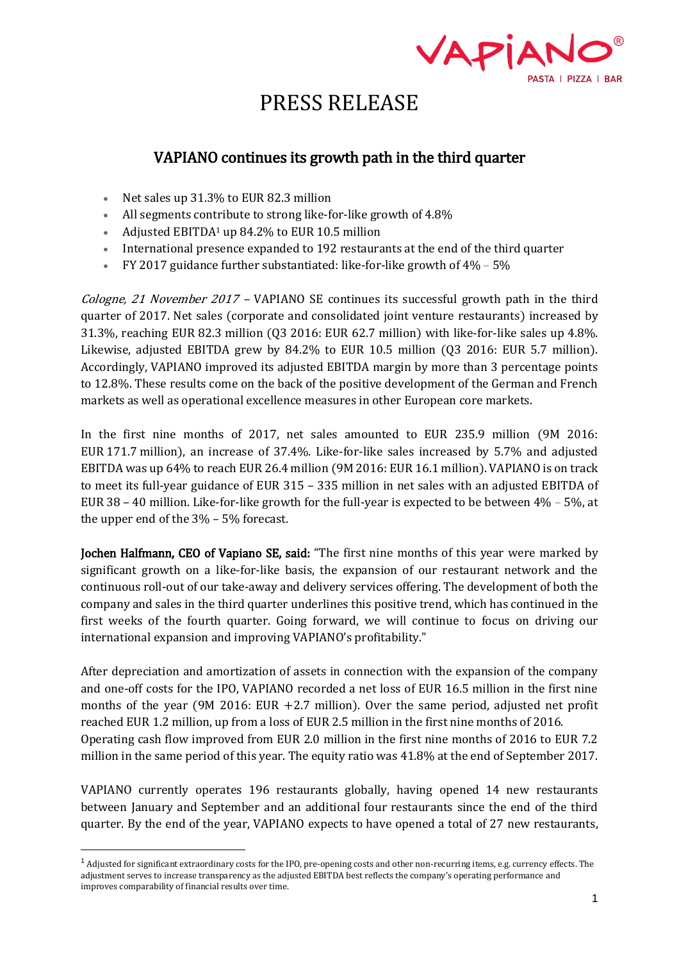

## VAPIANO continues its growth path in the third quarter

- Net sales up 31.3% to EUR 82.3 million
- All segments contribute to strong like-for-like growth of 4.8%
- Adjusted EBITDA<sup>1</sup> up 84.2% to EUR 10.5 million
- International presence expanded to 192 restaurants at the end of the third quarter
- FY 2017 guidance further substantiated: like-for-like growth of 4% 5%

*Cologne, 21 November 2017 –* VAPIANO SE continues its successful growth path in the third quarter of 2017. Net sales (corporate and consolidated joint venture restaurants) increased by 31.3%, reaching EUR 82.3 million (Q3 2016: EUR 62.7 million) with like-for-like sales up 4.8%. Likewise, adjusted EBITDA grew by 84.2% to EUR 10.5 million (Q3 2016: EUR 5.7 million). Accordingly, VAPIANO improved its adjusted EBITDA margin by more than 3 percentage points to 12.8%. These results come on the back of the positive development of the German and French markets as well as operational excellence measures in other European core markets.

In the first nine months of 2017, net sales amounted to EUR 235.9 million (9M 2016: EUR 171.7 million), an increase of 37.4%. Like-for-like sales increased by 5.7% and adjusted EBITDA was up 64% to reach EUR 26.4 million (9M 2016: EUR 16.1 million). VAPIANO is on track to meet its full-year guidance of EUR 315 – 335 million in net sales with an adjusted EBITDA of EUR 38 – 40 million. Like-for-like growth for the full-year is expected to be between 4% – 5%, at the upper end of the 3% – 5% forecast.

Jochen Halfmann, CEO of Vapiano SE, said: "The first nine months of this year were marked by significant growth on a like-for-like basis, the expansion of our restaurant network and the continuous roll-out of our take-away and delivery services offering. The development of both the company and sales in the third quarter underlines this positive trend, which has continued in the first weeks of the fourth quarter. Going forward, we will continue to focus on driving our international expansion and improving VAPIANO's profitability."

After depreciation and amortization of assets in connection with the expansion of the company and one-off costs for the IPO, VAPIANO recorded a net loss of EUR 16.5 million in the first nine months of the year (9M 2016: EUR +2.7 million). Over the same period, adjusted net profit reached EUR 1.2 million, up from a loss of EUR 2.5 million in the first nine months of 2016. Operating cash flow improved from EUR 2.0 million in the first nine months of 2016 to EUR 7.2 million in the same period of this year. The equity ratio was 41.8% at the end of September 2017.

VAPIANO currently operates 196 restaurants globally, having opened 14 new restaurants between January and September and an additional four restaurants since the end of the third quarter. By the end of the year, VAPIANO expects to have opened a total of 27 new restaurants,

 $\overline{a}$ 

 $<sup>1</sup>$  Adjusted for significant extraordinary costs for the IPO, pre-opening costs and other non-recurring items, e.g. currency effects. The</sup> adjustment serves to increase transparency as the adjusted EBITDA best reflects the company's operating performance and improves comparability of financial results over time.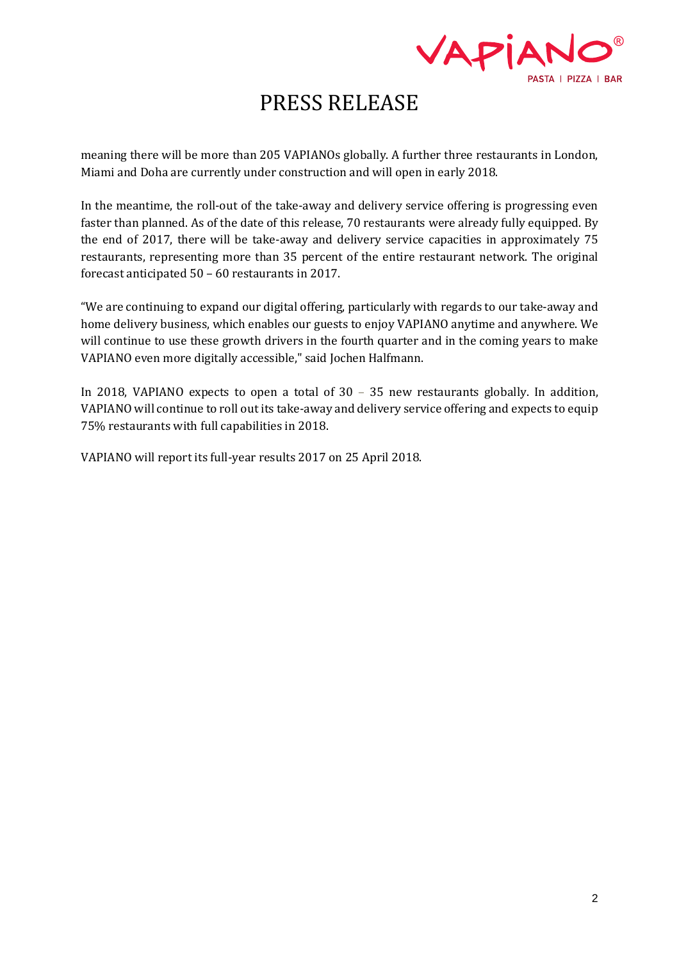

meaning there will be more than 205 VAPIANOs globally. A further three restaurants in London, Miami and Doha are currently under construction and will open in early 2018.

In the meantime, the roll-out of the take-away and delivery service offering is progressing even faster than planned. As of the date of this release, 70 restaurants were already fully equipped. By the end of 2017, there will be take-away and delivery service capacities in approximately 75 restaurants, representing more than 35 percent of the entire restaurant network. The original forecast anticipated 50 – 60 restaurants in 2017.

"We are continuing to expand our digital offering, particularly with regards to our take-away and home delivery business, which enables our guests to enjoy VAPIANO anytime and anywhere. We will continue to use these growth drivers in the fourth quarter and in the coming years to make VAPIANO even more digitally accessible," said Jochen Halfmann.

In 2018, VAPIANO expects to open a total of 30 – 35 new restaurants globally. In addition, VAPIANO will continue to roll out its take-away and delivery service offering and expects to equip 75% restaurants with full capabilities in 2018.

VAPIANO will report its full-year results 2017 on 25 April 2018.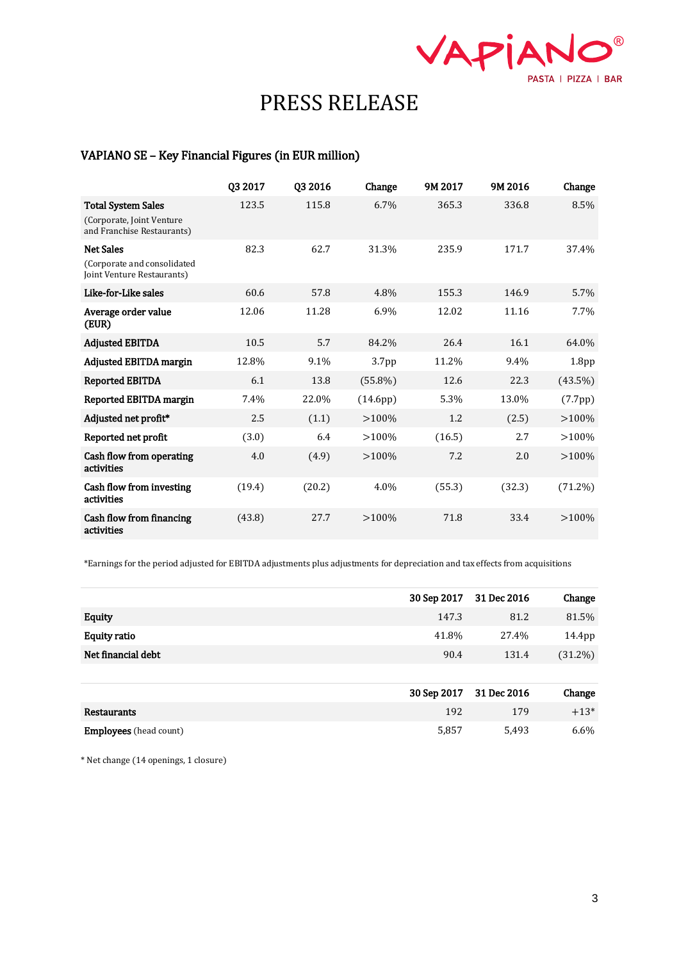

### VAPIANO SE – Key Financial Figures (in EUR million)

|                                                                                       | Q3 2017 | Q3 2016 | Change            | 9M 2017 | 9M 2016 | Change            |
|---------------------------------------------------------------------------------------|---------|---------|-------------------|---------|---------|-------------------|
| <b>Total System Sales</b><br>(Corporate, Joint Venture)<br>and Franchise Restaurants) | 123.5   | 115.8   | 6.7%              | 365.3   | 336.8   | 8.5%              |
| <b>Net Sales</b><br>(Corporate and consolidated<br>Joint Venture Restaurants)         | 82.3    | 62.7    | 31.3%             | 235.9   | 171.7   | 37.4%             |
| Like-for-Like sales                                                                   | 60.6    | 57.8    | 4.8%              | 155.3   | 146.9   | 5.7%              |
| Average order value<br>(EUR)                                                          | 12.06   | 11.28   | 6.9%              | 12.02   | 11.16   | 7.7%              |
| <b>Adjusted EBITDA</b>                                                                | 10.5    | 5.7     | 84.2%             | 26.4    | 16.1    | 64.0%             |
| <b>Adjusted EBITDA margin</b>                                                         | 12.8%   | 9.1%    | 3.7 <sub>pp</sub> | 11.2%   | 9.4%    | 1.8 <sub>pp</sub> |
| <b>Reported EBITDA</b>                                                                | 6.1     | 13.8    | $(55.8\%)$        | 12.6    | 22.3    | $(43.5\%)$        |
| Reported EBITDA margin                                                                | 7.4%    | 22.0%   | (14.6pp)          | 5.3%    | 13.0%   | (7.7pp)           |
| Adjusted net profit*                                                                  | 2.5     | (1.1)   | >100%             | 1.2     | (2.5)   | >100%             |
| Reported net profit                                                                   | (3.0)   | 6.4     | >100%             | (16.5)  | 2.7     | >100%             |
| Cash flow from operating<br>activities                                                | 4.0     | (4.9)   | >100%             | 7.2     | 2.0     | >100%             |
| Cash flow from investing<br>activities                                                | (19.4)  | (20.2)  | 4.0%              | (55.3)  | (32.3)  | $(71.2\%)$        |
| Cash flow from financing<br>activities                                                | (43.8)  | 27.7    | >100%             | 71.8    | 33.4    | $>100\%$          |

\*Earnings for the period adjusted for EBITDA adjustments plus adjustments for depreciation and tax effects from acquisitions

|                     |       | 30 Sep 2017 31 Dec 2016 | Change     |
|---------------------|-------|-------------------------|------------|
| <b>Equity</b>       | 147.3 | 81.2                    | 81.5%      |
| <b>Equity ratio</b> | 41.8% | 27.4%                   | 14.4pp     |
| Net financial debt  | 90.4  | 131.4                   | $(31.2\%)$ |
|                     |       |                         |            |

|                               | 30 Sep 2017 31 Dec 2016 |       | Change  |
|-------------------------------|-------------------------|-------|---------|
| Restaurants                   | 192                     | 179   | $+13*$  |
| <b>Employees</b> (head count) | 5.857                   | 5.493 | $6.6\%$ |

\* Net change (14 openings, 1 closure)